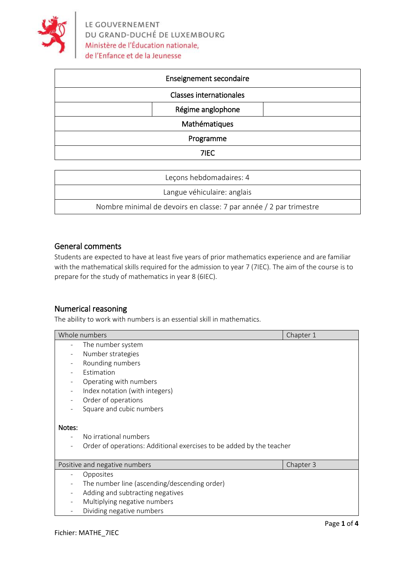

|               | Enseignement secondaire        |  |
|---------------|--------------------------------|--|
|               | <b>Classes internationales</b> |  |
|               | Régime anglophone              |  |
| Mathématiques |                                |  |
| Programme     |                                |  |
|               | 7IEC                           |  |

| Leçons hebdomadaires: 4                                            |  |
|--------------------------------------------------------------------|--|
| Langue véhiculaire: anglais                                        |  |
| Nombre minimal de devoirs en classe: 7 par année / 2 par trimestre |  |

# General comments

Students are expected to have at least five years of prior mathematics experience and are familiar with the mathematical skills required for the admission to year 7 (7IEC). The aim of the course is to prepare for the study of mathematics in year 8 (6IEC).

# Numerical reasoning

The ability to work with numbers is an essential skill in mathematics.

|                          | Whole numbers                                                        | Chapter 1 |
|--------------------------|----------------------------------------------------------------------|-----------|
| $\overline{a}$           | The number system                                                    |           |
| $\overline{a}$           | Number strategies                                                    |           |
| $\overline{\phantom{0}}$ | Rounding numbers                                                     |           |
|                          | Estimation                                                           |           |
|                          | Operating with numbers                                               |           |
|                          | Index notation (with integers)                                       |           |
|                          | Order of operations                                                  |           |
| $\overline{a}$           | Square and cubic numbers                                             |           |
| Notes:                   |                                                                      |           |
|                          | No irrational numbers                                                |           |
| $\qquad \qquad -$        | Order of operations: Additional exercises to be added by the teacher |           |
|                          |                                                                      |           |
|                          | Positive and negative numbers                                        | Chapter 3 |
| $\overline{\phantom{a}}$ | Opposites                                                            |           |
| $\overline{\phantom{a}}$ | The number line (ascending/descending order)                         |           |
|                          | Adding and subtracting negatives                                     |           |
| $\overline{\phantom{0}}$ | Multiplying negative numbers                                         |           |
|                          | Dividing negative numbers                                            |           |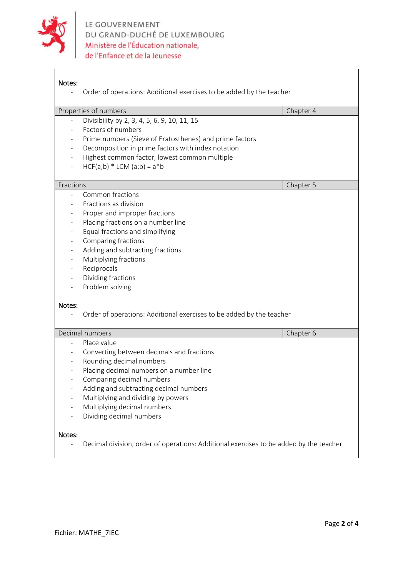

 $\mathsf{r}$ 

| Notes:                                                                         | Order of operations: Additional exercises to be added by the teacher                   |           |  |  |  |
|--------------------------------------------------------------------------------|----------------------------------------------------------------------------------------|-----------|--|--|--|
|                                                                                | Properties of numbers                                                                  | Chapter 4 |  |  |  |
| $\overline{\phantom{a}}$                                                       | Divisibility by 2, 3, 4, 5, 6, 9, 10, 11, 15                                           |           |  |  |  |
|                                                                                | Factors of numbers                                                                     |           |  |  |  |
| $\qquad \qquad -$                                                              | Prime numbers (Sieve of Eratosthenes) and prime factors                                |           |  |  |  |
| $\overline{\phantom{a}}$                                                       | Decomposition in prime factors with index notation                                     |           |  |  |  |
| $\overline{\phantom{a}}$                                                       | Highest common factor, lowest common multiple                                          |           |  |  |  |
|                                                                                | $HCF(a;b) * LCM (a;b) = a * b$                                                         |           |  |  |  |
|                                                                                |                                                                                        |           |  |  |  |
| Fractions                                                                      |                                                                                        | Chapter 5 |  |  |  |
|                                                                                | Common fractions                                                                       |           |  |  |  |
|                                                                                | Fractions as division                                                                  |           |  |  |  |
| $\overline{\phantom{a}}$                                                       | Proper and improper fractions                                                          |           |  |  |  |
| -                                                                              | Placing fractions on a number line                                                     |           |  |  |  |
|                                                                                | Equal fractions and simplifying                                                        |           |  |  |  |
| $\overline{\phantom{a}}$                                                       | Comparing fractions                                                                    |           |  |  |  |
| $\overline{\phantom{a}}$                                                       | Adding and subtracting fractions                                                       |           |  |  |  |
| $\overline{\phantom{a}}$                                                       | Multiplying fractions                                                                  |           |  |  |  |
| $\overline{\phantom{a}}$                                                       | Reciprocals                                                                            |           |  |  |  |
| $\overline{\phantom{a}}$                                                       | Dividing fractions                                                                     |           |  |  |  |
|                                                                                | Problem solving                                                                        |           |  |  |  |
| Notes:<br>Order of operations: Additional exercises to be added by the teacher |                                                                                        |           |  |  |  |
|                                                                                | Decimal numbers                                                                        | Chapter 6 |  |  |  |
|                                                                                | Place value                                                                            |           |  |  |  |
|                                                                                | Converting between decimals and fractions                                              |           |  |  |  |
| $\overline{\phantom{a}}$                                                       | Rounding decimal numbers                                                               |           |  |  |  |
| $\overline{\phantom{a}}$                                                       | Placing decimal numbers on a number line                                               |           |  |  |  |
|                                                                                | Comparing decimal numbers                                                              |           |  |  |  |
|                                                                                | Adding and subtracting decimal numbers                                                 |           |  |  |  |
| $\qquad \qquad -$                                                              | Multiplying and dividing by powers                                                     |           |  |  |  |
| $\overline{\phantom{a}}$                                                       | Multiplying decimal numbers                                                            |           |  |  |  |
|                                                                                | Dividing decimal numbers                                                               |           |  |  |  |
| Notes:                                                                         | Decimal division, order of operations: Additional exercises to be added by the teacher |           |  |  |  |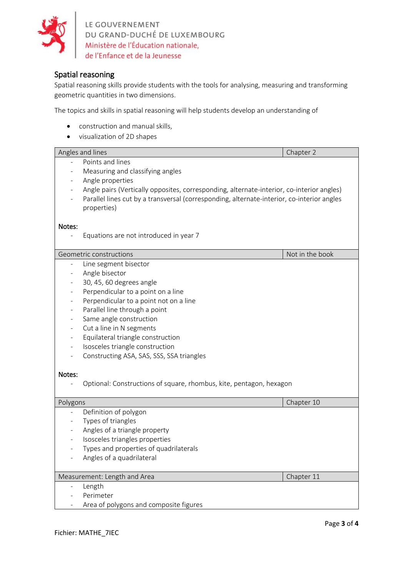

LE GOUVERNEMENT<br>DU GRAND-DUCHÉ DE LUXEMBOURG<br>Ministère de l'Éducation nationale,<br>de l'Enfance et de la Jeunesse de l'Enfance et de la Jeunesse

# Spatial reasoning

Spatial reasoning skills provide students with the tools for analysing, measuring and transforming geometric quantities in two dimensions.

The topics and skills in spatial reasoning will help students develop an understanding of

- construction and manual skills,
- visualization of 2D shapes

|                | Angles and lines                                                                           | Chapter 2       |
|----------------|--------------------------------------------------------------------------------------------|-----------------|
|                | Points and lines                                                                           |                 |
|                | Measuring and classifying angles                                                           |                 |
|                | Angle properties                                                                           |                 |
|                | Angle pairs (Vertically opposites, corresponding, alternate-interior, co-interior angles)  |                 |
|                | Parallel lines cut by a transversal (corresponding, alternate-interior, co-interior angles |                 |
|                | properties)                                                                                |                 |
|                |                                                                                            |                 |
| Notes:         |                                                                                            |                 |
|                | Equations are not introduced in year 7                                                     |                 |
|                |                                                                                            |                 |
|                | Geometric constructions                                                                    | Not in the book |
|                | Line segment bisector                                                                      |                 |
|                | Angle bisector                                                                             |                 |
|                | 30, 45, 60 degrees angle                                                                   |                 |
|                | Perpendicular to a point on a line                                                         |                 |
|                | Perpendicular to a point not on a line                                                     |                 |
|                | Parallel line through a point                                                              |                 |
|                | Same angle construction                                                                    |                 |
|                | Cut a line in N segments                                                                   |                 |
|                | Equilateral triangle construction                                                          |                 |
|                | Isosceles triangle construction                                                            |                 |
|                | Constructing ASA, SAS, SSS, SSA triangles                                                  |                 |
|                |                                                                                            |                 |
| Notes:         |                                                                                            |                 |
|                | Optional: Constructions of square, rhombus, kite, pentagon, hexagon                        |                 |
| Polygons       |                                                                                            | Chapter 10      |
|                | Definition of polygon                                                                      |                 |
|                | Types of triangles                                                                         |                 |
|                | Angles of a triangle property                                                              |                 |
| $\overline{a}$ | Isosceles triangles properties                                                             |                 |
|                | Types and properties of quadrilaterals                                                     |                 |
|                | Angles of a quadrilateral                                                                  |                 |
|                |                                                                                            |                 |
|                | Measurement: Length and Area                                                               | Chapter 11      |
|                | Length                                                                                     |                 |
|                | Perimeter                                                                                  |                 |
|                | Area of polygons and composite figures                                                     |                 |